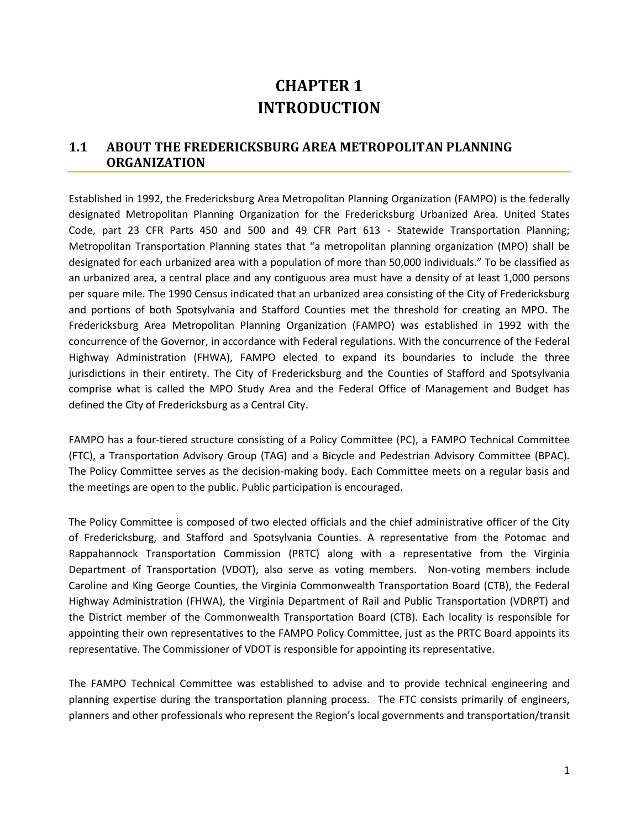# **CHAPTER 1 INTRODUCTION**

# **1.1 ABOUT THE FREDERICKSBURG AREA METROPOLITAN PLANNING ORGANIZATION**

Established in 1992, the Fredericksburg Area Metropolitan Planning Organization (FAMPO) is the federally designated Metropolitan Planning Organization for the Fredericksburg Urbanized Area. United States Code, part 23 CFR Parts 450 and 500 and 49 CFR Part 613 - Statewide Transportation Planning; Metropolitan Transportation Planning states that "a metropolitan planning organization (MPO) shall be designated for each urbanized area with a population of more than 50,000 individuals." To be classified as an urbanized area, a central place and any contiguous area must have a density of at least 1,000 persons per square mile. The 1990 Census indicated that an urbanized area consisting of the City of Fredericksburg and portions of both Spotsylvania and Stafford Counties met the threshold for creating an MPO. The Fredericksburg Area Metropolitan Planning Organization (FAMPO) was established in 1992 with the concurrence of the Governor, in accordance with Federal regulations. With the concurrence of the Federal Highway Administration (FHWA), FAMPO elected to expand its boundaries to include the three jurisdictions in their entirety. The City of Fredericksburg and the Counties of Stafford and Spotsylvania comprise what is called the MPO Study Area and the Federal Office of Management and Budget has defined the City of Fredericksburg as a Central City.

FAMPO has a four-tiered structure consisting of a Policy Committee (PC), a FAMPO Technical Committee (FTC), a Transportation Advisory Group (TAG) and a Bicycle and Pedestrian Advisory Committee (BPAC). The Policy Committee serves as the decision-making body. Each Committee meets on a regular basis and the meetings are open to the public. Public participation is encouraged.

The Policy Committee is composed of two elected officials and the chief administrative officer of the City of Fredericksburg, and Stafford and Spotsylvania Counties. A representative from the Potomac and Rappahannock Transportation Commission (PRTC) along with a representative from the Virginia Department of Transportation (VDOT), also serve as voting members. Non-voting members include Caroline and King George Counties, the Virginia Commonwealth Transportation Board (CTB), the Federal Highway Administration (FHWA), the Virginia Department of Rail and Public Transportation (VDRPT) and the District member of the Commonwealth Transportation Board (CTB). Each locality is responsible for appointing their own representatives to the FAMPO Policy Committee, just as the PRTC Board appoints its representative. The Commissioner of VDOT is responsible for appointing its representative.

The FAMPO Technical Committee was established to advise and to provide technical engineering and planning expertise during the transportation planning process. The FTC consists primarily of engineers, planners and other professionals who represent the Region's local governments and transportation/transit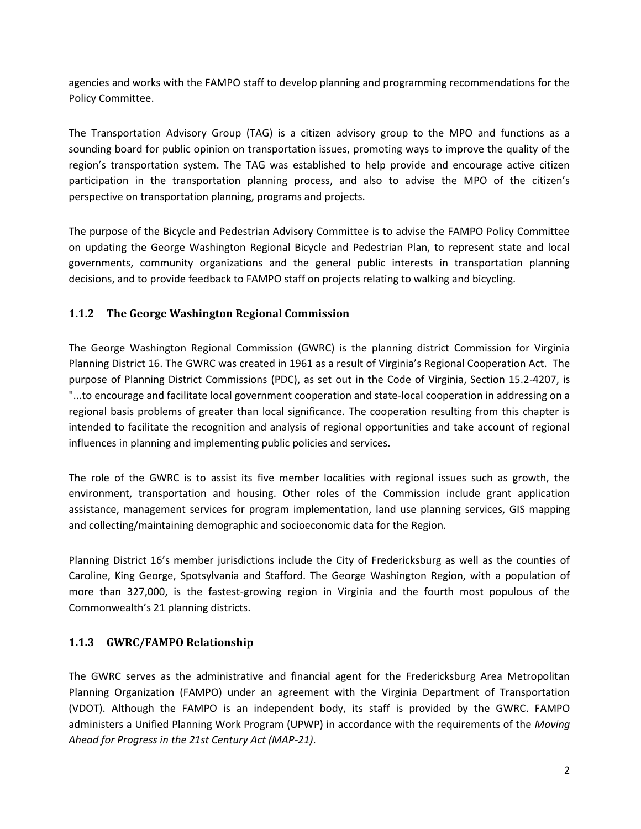agencies and works with the FAMPO staff to develop planning and programming recommendations for the Policy Committee.

The Transportation Advisory Group (TAG) is a citizen advisory group to the MPO and functions as a sounding board for public opinion on transportation issues, promoting ways to improve the quality of the region's transportation system. The TAG was established to help provide and encourage active citizen participation in the transportation planning process, and also to advise the MPO of the citizen's perspective on transportation planning, programs and projects.

The purpose of the Bicycle and Pedestrian Advisory Committee is to advise the FAMPO Policy Committee on updating the George Washington Regional Bicycle and Pedestrian Plan, to represent state and local governments, community organizations and the general public interests in transportation planning decisions, and to provide feedback to FAMPO staff on projects relating to walking and bicycling.

#### **1.1.2 The George Washington Regional Commission**

The George Washington Regional Commission (GWRC) is the planning district Commission for Virginia Planning District 16. The GWRC was created in 1961 as a result of Virginia's Regional Cooperation Act. The purpose of Planning District Commissions (PDC), as set out in the Code of Virginia, Section 15.2-4207, is "...to encourage and facilitate local government cooperation and state-local cooperation in addressing on a regional basis problems of greater than local significance. The cooperation resulting from this chapter is intended to facilitate the recognition and analysis of regional opportunities and take account of regional influences in planning and implementing public policies and services.

The role of the GWRC is to assist its five member localities with regional issues such as growth, the environment, transportation and housing. Other roles of the Commission include grant application assistance, management services for program implementation, land use planning services, GIS mapping and collecting/maintaining demographic and socioeconomic data for the Region.

Planning District 16's member jurisdictions include the City of Fredericksburg as well as the counties of Caroline, King George, Spotsylvania and Stafford. The George Washington Region, with a population of more than 327,000, is the fastest-growing region in Virginia and the fourth most populous of the Commonwealth's 21 planning districts.

# **1.1.3 GWRC/FAMPO Relationship**

The GWRC serves as the administrative and financial agent for the Fredericksburg Area Metropolitan Planning Organization (FAMPO) under an agreement with the Virginia Department of Transportation (VDOT). Although the FAMPO is an independent body, its staff is provided by the GWRC. FAMPO administers a Unified Planning Work Program (UPWP) in accordance with the requirements of the *Moving Ahead for Progress in the 21st Century Act (MAP-21)*.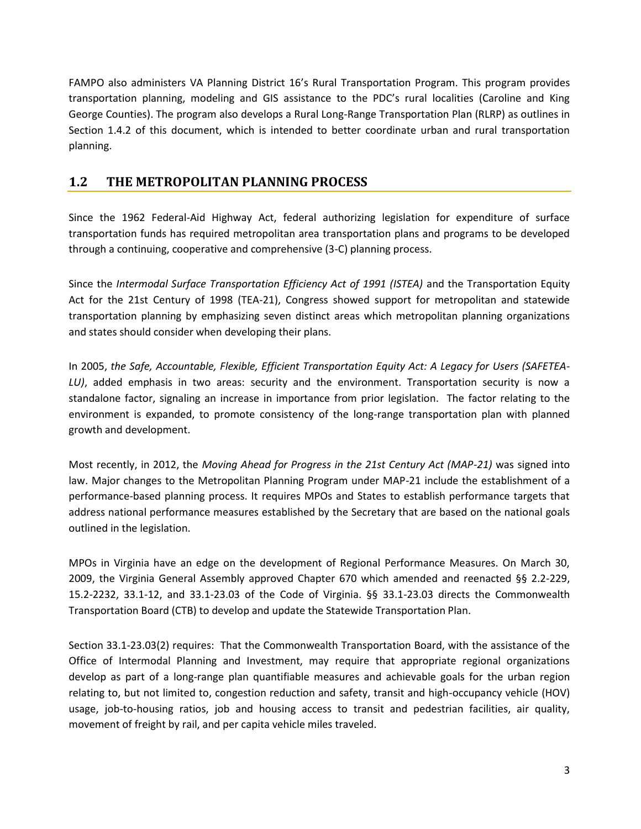FAMPO also administers VA Planning District 16's Rural Transportation Program. This program provides transportation planning, modeling and GIS assistance to the PDC's rural localities (Caroline and King George Counties). The program also develops a Rural Long-Range Transportation Plan (RLRP) as outlines in Section 1.4.2 of this document, which is intended to better coordinate urban and rural transportation planning.

# **1.2 THE METROPOLITAN PLANNING PROCESS**

Since the 1962 Federal-Aid Highway Act, federal authorizing legislation for expenditure of surface transportation funds has required metropolitan area transportation plans and programs to be developed through a continuing, cooperative and comprehensive (3-C) planning process.

Since the *Intermodal Surface Transportation Efficiency Act of 1991 (ISTEA)* and the Transportation Equity Act for the 21st Century of 1998 (TEA-21), Congress showed support for metropolitan and statewide transportation planning by emphasizing seven distinct areas which metropolitan planning organizations and states should consider when developing their plans.

In 2005, *the Safe, Accountable, Flexible, Efficient Transportation Equity Act: A Legacy for Users (SAFETEA-LU)*, added emphasis in two areas: security and the environment. Transportation security is now a standalone factor, signaling an increase in importance from prior legislation. The factor relating to the environment is expanded, to promote consistency of the long-range transportation plan with planned growth and development.

Most recently, in 2012, the *Moving Ahead for Progress in the 21st Century Act (MAP-21)* was signed into law. Major changes to the Metropolitan Planning Program under MAP-21 include the establishment of a performance-based planning process. It requires MPOs and States to establish performance targets that address national performance measures established by the Secretary that are based on the national goals outlined in the legislation.

MPOs in Virginia have an edge on the development of Regional Performance Measures. On March 30, 2009, the Virginia General Assembly approved Chapter 670 which amended and reenacted §§ 2.2-229, 15.2-2232, 33.1-12, and 33.1-23.03 of the Code of Virginia. §§ 33.1-23.03 directs the Commonwealth Transportation Board (CTB) to develop and update the Statewide Transportation Plan.

Section 33.1-23.03(2) requires: That the Commonwealth Transportation Board, with the assistance of the Office of Intermodal Planning and Investment, may require that appropriate regional organizations develop as part of a long-range plan quantifiable measures and achievable goals for the urban region relating to, but not limited to, congestion reduction and safety, transit and high-occupancy vehicle (HOV) usage, job-to-housing ratios, job and housing access to transit and pedestrian facilities, air quality, movement of freight by rail, and per capita vehicle miles traveled.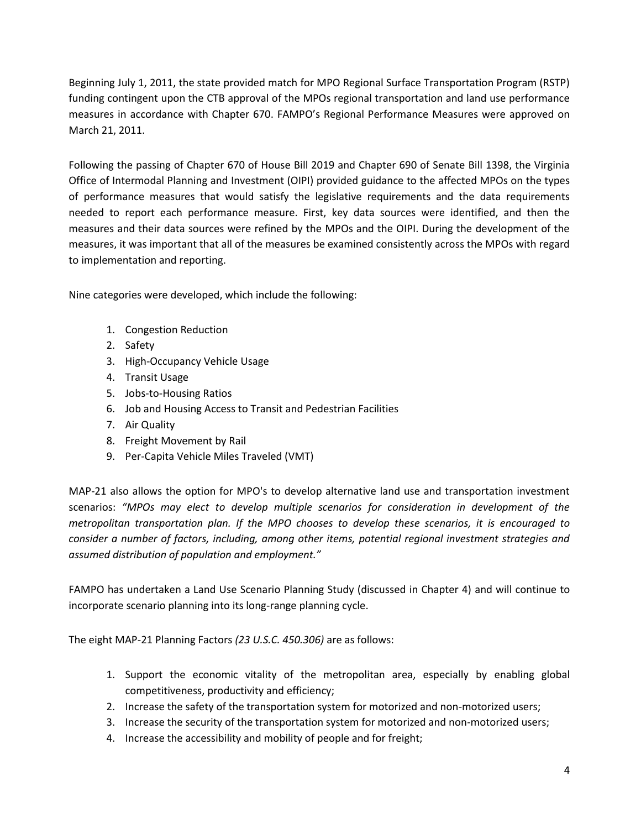Beginning July 1, 2011, the state provided match for MPO Regional Surface Transportation Program (RSTP) funding contingent upon the CTB approval of the MPOs regional transportation and land use performance measures in accordance with Chapter 670. FAMPO's Regional Performance Measures were approved on March 21, 2011.

Following the passing of Chapter 670 of House Bill 2019 and Chapter 690 of Senate Bill 1398, the Virginia Office of Intermodal Planning and Investment (OIPI) provided guidance to the affected MPOs on the types of performance measures that would satisfy the legislative requirements and the data requirements needed to report each performance measure. First, key data sources were identified, and then the measures and their data sources were refined by the MPOs and the OIPI. During the development of the measures, it was important that all of the measures be examined consistently across the MPOs with regard to implementation and reporting.

Nine categories were developed, which include the following:

- 1. Congestion Reduction
- 2. Safety
- 3. High-Occupancy Vehicle Usage
- 4. Transit Usage
- 5. Jobs-to-Housing Ratios
- 6. Job and Housing Access to Transit and Pedestrian Facilities
- 7. Air Quality
- 8. Freight Movement by Rail
- 9. Per-Capita Vehicle Miles Traveled (VMT)

MAP-21 also allows the option for MPO's to develop alternative land use and transportation investment scenarios: *"MPOs may elect to develop multiple scenarios for consideration in development of the metropolitan transportation plan. If the MPO chooses to develop these scenarios, it is encouraged to consider a number of factors, including, among other items, potential regional investment strategies and assumed distribution of population and employment."*

FAMPO has undertaken a Land Use Scenario Planning Study (discussed in Chapter 4) and will continue to incorporate scenario planning into its long-range planning cycle.

The eight MAP-21 Planning Factors *(23 U.S.C. 450.306)* are as follows:

- 1. Support the economic vitality of the metropolitan area, especially by enabling global competitiveness, productivity and efficiency;
- 2. Increase the safety of the transportation system for motorized and non-motorized users;
- 3. Increase the security of the transportation system for motorized and non-motorized users;
- 4. Increase the accessibility and mobility of people and for freight;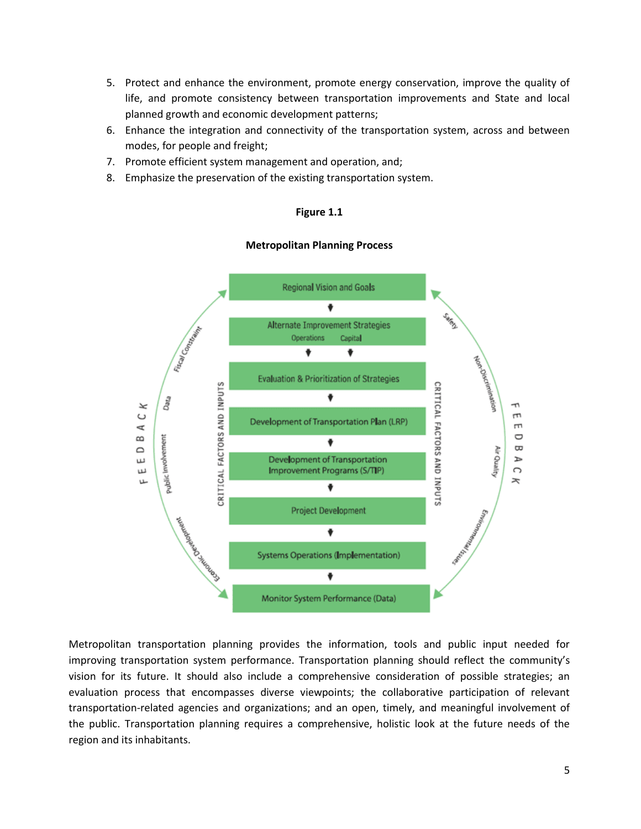- 5. Protect and enhance the environment, promote energy conservation, improve the quality of life, and promote consistency between transportation improvements and State and local planned growth and economic development patterns;
- 6. Enhance the integration and connectivity of the transportation system, across and between modes, for people and freight;
- 7. Promote efficient system management and operation, and;
- 8. Emphasize the preservation of the existing transportation system.

#### **Figure 1.1**

#### **Metropolitan Planning Process**



Metropolitan transportation planning provides the information, tools and public input needed for improving transportation system performance. Transportation planning should reflect the community's vision for its future. It should also include a comprehensive consideration of possible strategies; an evaluation process that encompasses diverse viewpoints; the collaborative participation of relevant transportation-related agencies and organizations; and an open, timely, and meaningful involvement of the public. Transportation planning requires a comprehensive, holistic look at the future needs of the region and its inhabitants.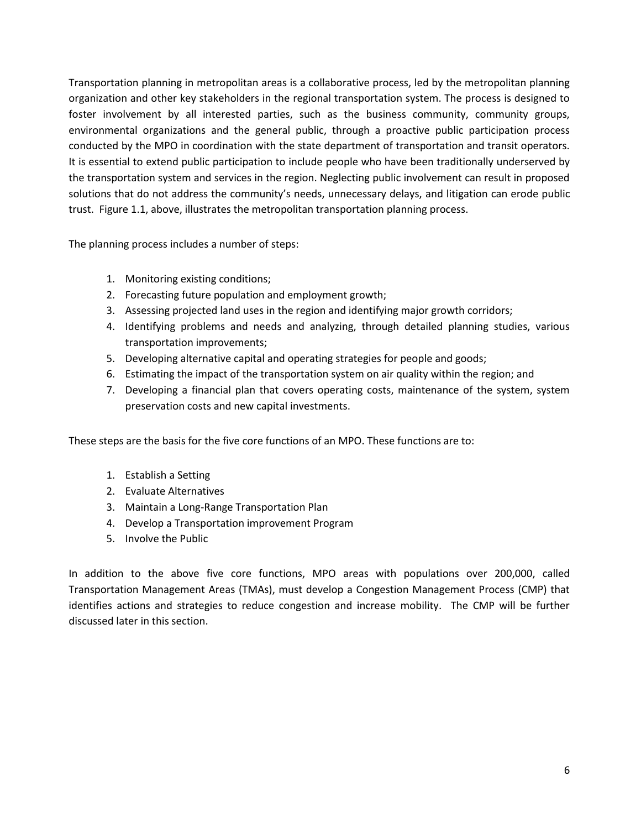Transportation planning in metropolitan areas is a collaborative process, led by the metropolitan planning organization and other key stakeholders in the regional transportation system. The process is designed to foster involvement by all interested parties, such as the business community, community groups, environmental organizations and the general public, through a proactive public participation process conducted by the MPO in coordination with the state department of transportation and transit operators. It is essential to extend public participation to include people who have been traditionally underserved by the transportation system and services in the region. Neglecting public involvement can result in proposed solutions that do not address the community's needs, unnecessary delays, and litigation can erode public trust. Figure 1.1, above, illustrates the metropolitan transportation planning process.

The planning process includes a number of steps:

- 1. Monitoring existing conditions;
- 2. Forecasting future population and employment growth;
- 3. Assessing projected land uses in the region and identifying major growth corridors;
- 4. Identifying problems and needs and analyzing, through detailed planning studies, various transportation improvements;
- 5. Developing alternative capital and operating strategies for people and goods;
- 6. Estimating the impact of the transportation system on air quality within the region; and
- 7. Developing a financial plan that covers operating costs, maintenance of the system, system preservation costs and new capital investments.

These steps are the basis for the five core functions of an MPO. These functions are to:

- 1. Establish a Setting
- 2. Evaluate Alternatives
- 3. Maintain a Long-Range Transportation Plan
- 4. Develop a Transportation improvement Program
- 5. Involve the Public

In addition to the above five core functions, MPO areas with populations over 200,000, called Transportation Management Areas (TMAs), must develop a Congestion Management Process (CMP) that identifies actions and strategies to reduce congestion and increase mobility. The CMP will be further discussed later in this section.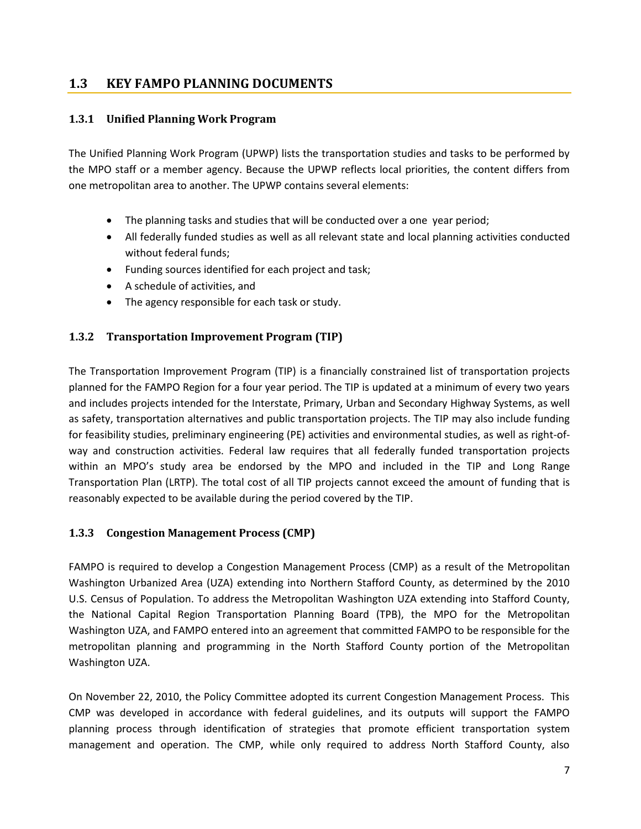#### **1.3 KEY FAMPO PLANNING DOCUMENTS**

#### **1.3.1 Unified Planning Work Program**

The Unified Planning Work Program (UPWP) lists the transportation studies and tasks to be performed by the MPO staff or a member agency. Because the UPWP reflects local priorities, the content differs from one metropolitan area to another. The UPWP contains several elements:

- The planning tasks and studies that will be conducted over a one year period;
- All federally funded studies as well as all relevant state and local planning activities conducted without federal funds;
- Funding sources identified for each project and task;
- A schedule of activities, and
- The agency responsible for each task or study.

#### **1.3.2 Transportation Improvement Program (TIP)**

The Transportation Improvement Program (TIP) is a financially constrained list of transportation projects planned for the FAMPO Region for a four year period. The TIP is updated at a minimum of every two years and includes projects intended for the Interstate, Primary, Urban and Secondary Highway Systems, as well as safety, transportation alternatives and public transportation projects. The TIP may also include funding for feasibility studies, preliminary engineering (PE) activities and environmental studies, as well as right-ofway and construction activities. Federal law requires that all federally funded transportation projects within an MPO's study area be endorsed by the MPO and included in the TIP and Long Range Transportation Plan (LRTP). The total cost of all TIP projects cannot exceed the amount of funding that is reasonably expected to be available during the period covered by the TIP.

#### **1.3.3 Congestion Management Process (CMP)**

FAMPO is required to develop a Congestion Management Process (CMP) as a result of the Metropolitan Washington Urbanized Area (UZA) extending into Northern Stafford County, as determined by the 2010 U.S. Census of Population. To address the Metropolitan Washington UZA extending into Stafford County, the National Capital Region Transportation Planning Board (TPB), the MPO for the Metropolitan Washington UZA, and FAMPO entered into an agreement that committed FAMPO to be responsible for the metropolitan planning and programming in the North Stafford County portion of the Metropolitan Washington UZA.

On November 22, 2010, the Policy Committee adopted its current Congestion Management Process. This CMP was developed in accordance with federal guidelines, and its outputs will support the FAMPO planning process through identification of strategies that promote efficient transportation system management and operation. The CMP, while only required to address North Stafford County, also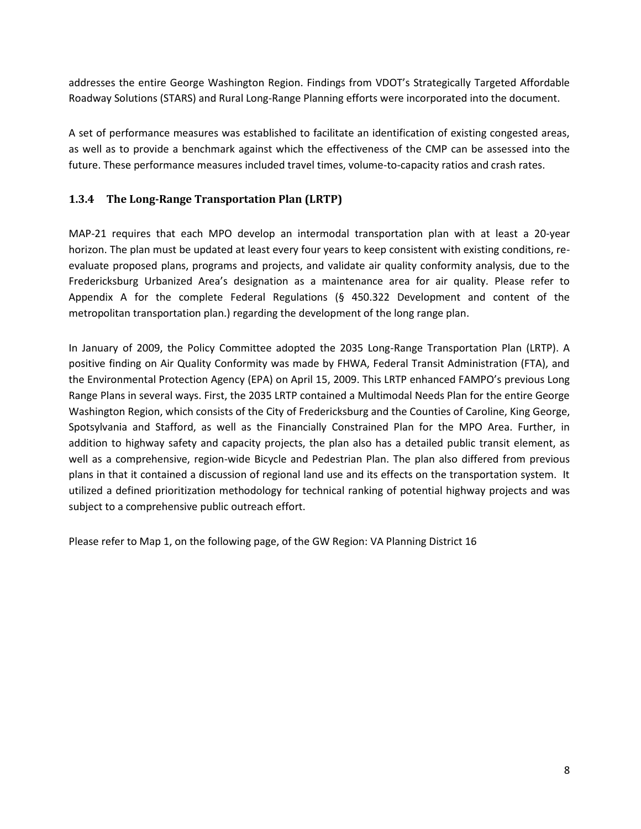addresses the entire George Washington Region. Findings from VDOT's Strategically Targeted Affordable Roadway Solutions (STARS) and Rural Long-Range Planning efforts were incorporated into the document.

A set of performance measures was established to facilitate an identification of existing congested areas, as well as to provide a benchmark against which the effectiveness of the CMP can be assessed into the future. These performance measures included travel times, volume-to-capacity ratios and crash rates.

#### **1.3.4 The Long-Range Transportation Plan (LRTP)**

MAP-21 requires that each MPO develop an intermodal transportation plan with at least a 20-year horizon. The plan must be updated at least every four years to keep consistent with existing conditions, reevaluate proposed plans, programs and projects, and validate air quality conformity analysis, due to the Fredericksburg Urbanized Area's designation as a maintenance area for air quality. Please refer to Appendix A for the complete Federal Regulations (§ 450.322 Development and content of the metropolitan transportation plan.) regarding the development of the long range plan.

In January of 2009, the Policy Committee adopted the 2035 Long-Range Transportation Plan (LRTP). A positive finding on Air Quality Conformity was made by FHWA, Federal Transit Administration (FTA), and the Environmental Protection Agency (EPA) on April 15, 2009. This LRTP enhanced FAMPO's previous Long Range Plans in several ways. First, the 2035 LRTP contained a Multimodal Needs Plan for the entire George Washington Region, which consists of the City of Fredericksburg and the Counties of Caroline, King George, Spotsylvania and Stafford, as well as the Financially Constrained Plan for the MPO Area. Further, in addition to highway safety and capacity projects, the plan also has a detailed public transit element, as well as a comprehensive, region-wide Bicycle and Pedestrian Plan. The plan also differed from previous plans in that it contained a discussion of regional land use and its effects on the transportation system. It utilized a defined prioritization methodology for technical ranking of potential highway projects and was subject to a comprehensive public outreach effort.

Please refer to Map 1, on the following page, of the GW Region: VA Planning District 16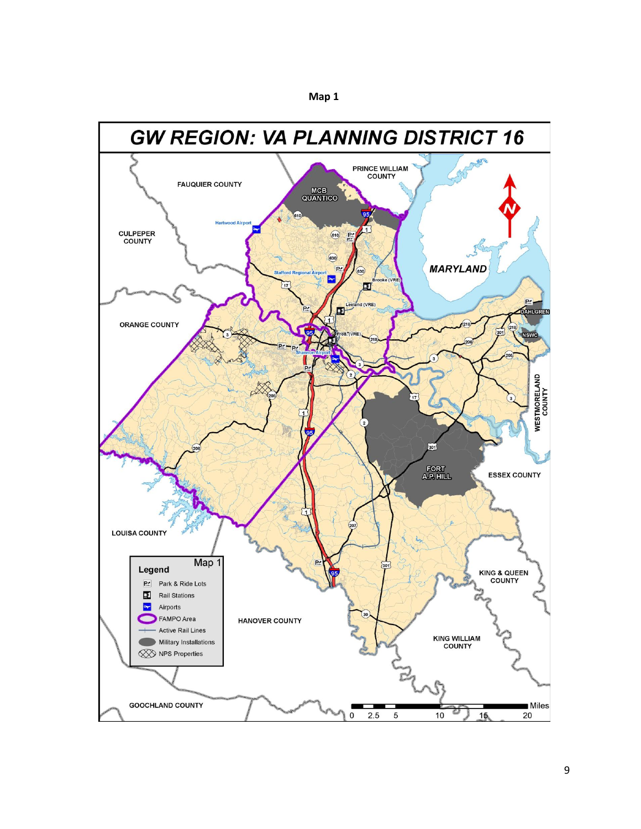

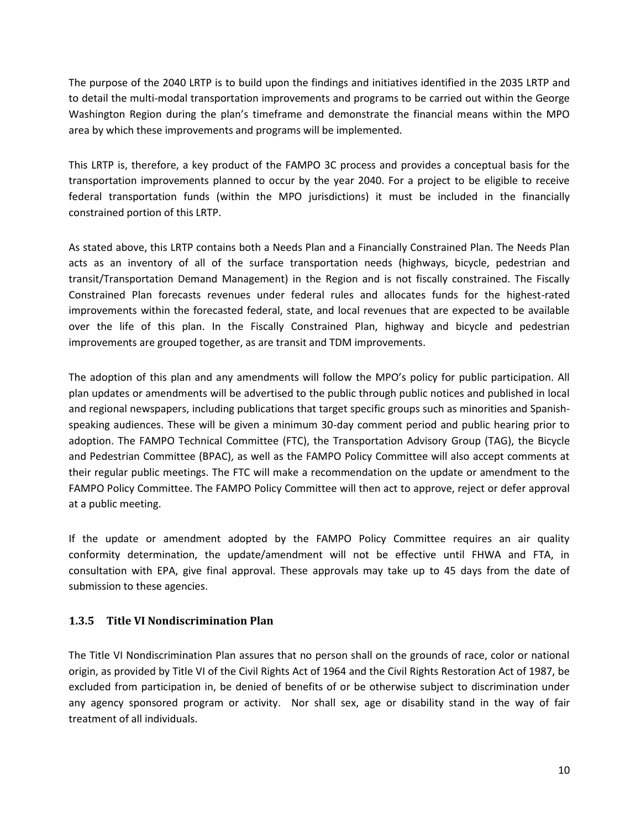The purpose of the 2040 LRTP is to build upon the findings and initiatives identified in the 2035 LRTP and to detail the multi-modal transportation improvements and programs to be carried out within the George Washington Region during the plan's timeframe and demonstrate the financial means within the MPO area by which these improvements and programs will be implemented.

This LRTP is, therefore, a key product of the FAMPO 3C process and provides a conceptual basis for the transportation improvements planned to occur by the year 2040. For a project to be eligible to receive federal transportation funds (within the MPO jurisdictions) it must be included in the financially constrained portion of this LRTP.

As stated above, this LRTP contains both a Needs Plan and a Financially Constrained Plan. The Needs Plan acts as an inventory of all of the surface transportation needs (highways, bicycle, pedestrian and transit/Transportation Demand Management) in the Region and is not fiscally constrained. The Fiscally Constrained Plan forecasts revenues under federal rules and allocates funds for the highest-rated improvements within the forecasted federal, state, and local revenues that are expected to be available over the life of this plan. In the Fiscally Constrained Plan, highway and bicycle and pedestrian improvements are grouped together, as are transit and TDM improvements.

The adoption of this plan and any amendments will follow the MPO's policy for public participation. All plan updates or amendments will be advertised to the public through public notices and published in local and regional newspapers, including publications that target specific groups such as minorities and Spanishspeaking audiences. These will be given a minimum 30-day comment period and public hearing prior to adoption. The FAMPO Technical Committee (FTC), the Transportation Advisory Group (TAG), the Bicycle and Pedestrian Committee (BPAC), as well as the FAMPO Policy Committee will also accept comments at their regular public meetings. The FTC will make a recommendation on the update or amendment to the FAMPO Policy Committee. The FAMPO Policy Committee will then act to approve, reject or defer approval at a public meeting.

If the update or amendment adopted by the FAMPO Policy Committee requires an air quality conformity determination, the update/amendment will not be effective until FHWA and FTA, in consultation with EPA, give final approval. These approvals may take up to 45 days from the date of submission to these agencies.

#### **1.3.5 Title VI Nondiscrimination Plan**

The Title VI Nondiscrimination Plan assures that no person shall on the grounds of race, color or national origin, as provided by Title VI of the Civil Rights Act of 1964 and the Civil Rights Restoration Act of 1987, be excluded from participation in, be denied of benefits of or be otherwise subject to discrimination under any agency sponsored program or activity. Nor shall sex, age or disability stand in the way of fair treatment of all individuals.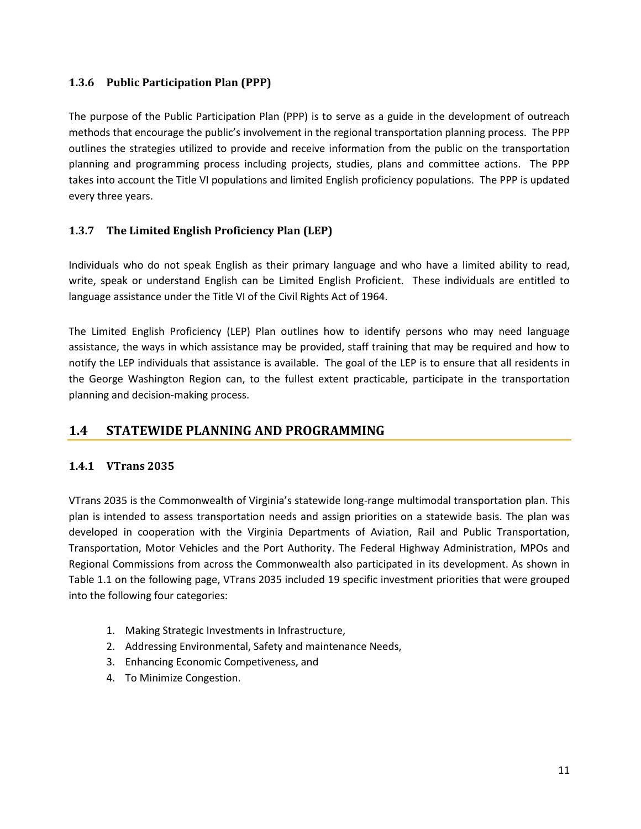#### **1.3.6 Public Participation Plan (PPP)**

The purpose of the Public Participation Plan (PPP) is to serve as a guide in the development of outreach methods that encourage the public's involvement in the regional transportation planning process. The PPP outlines the strategies utilized to provide and receive information from the public on the transportation planning and programming process including projects, studies, plans and committee actions. The PPP takes into account the Title VI populations and limited English proficiency populations. The PPP is updated every three years.

#### **1.3.7 The Limited English Proficiency Plan (LEP)**

Individuals who do not speak English as their primary language and who have a limited ability to read, write, speak or understand English can be Limited English Proficient. These individuals are entitled to language assistance under the Title VI of the Civil Rights Act of 1964.

The Limited English Proficiency (LEP) Plan outlines how to identify persons who may need language assistance, the ways in which assistance may be provided, staff training that may be required and how to notify the LEP individuals that assistance is available. The goal of the LEP is to ensure that all residents in the George Washington Region can, to the fullest extent practicable, participate in the transportation planning and decision-making process.

# **1.4 STATEWIDE PLANNING AND PROGRAMMING**

#### **1.4.1 VTrans 2035**

VTrans 2035 is the Commonwealth of Virginia's statewide long-range multimodal transportation plan. This plan is intended to assess transportation needs and assign priorities on a statewide basis. The plan was developed in cooperation with the Virginia Departments of Aviation, Rail and Public Transportation, Transportation, Motor Vehicles and the Port Authority. The Federal Highway Administration, MPOs and Regional Commissions from across the Commonwealth also participated in its development. As shown in Table 1.1 on the following page, VTrans 2035 included 19 specific investment priorities that were grouped into the following four categories:

- 1. Making Strategic Investments in Infrastructure,
- 2. Addressing Environmental, Safety and maintenance Needs,
- 3. Enhancing Economic Competiveness, and
- 4. To Minimize Congestion.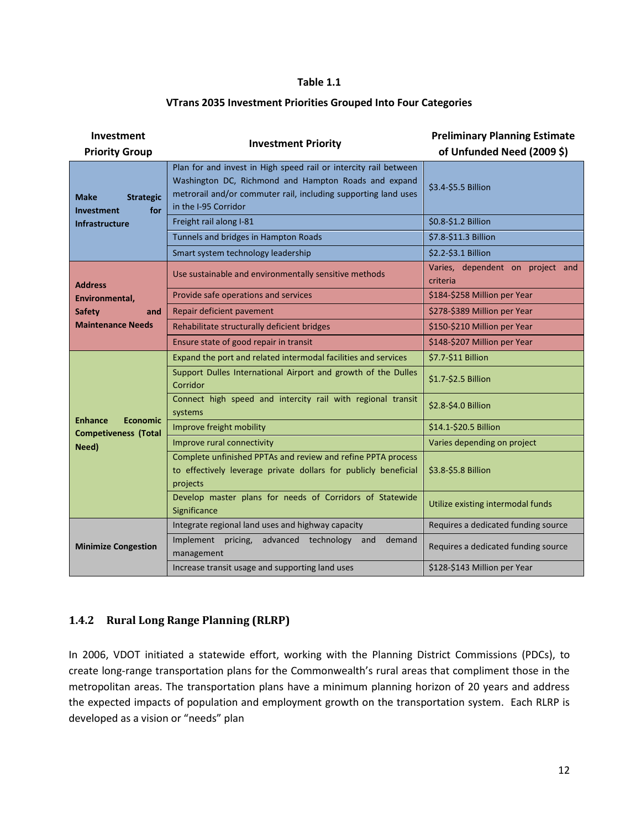#### **Table 1.1**

#### **VTrans 2035 Investment Priorities Grouped Into Four Categories**

| Investment<br><b>Priority Group</b>                                                  | <b>Investment Priority</b>                                                                                                                                                                                         | <b>Preliminary Planning Estimate</b><br>of Unfunded Need (2009 \$) |
|--------------------------------------------------------------------------------------|--------------------------------------------------------------------------------------------------------------------------------------------------------------------------------------------------------------------|--------------------------------------------------------------------|
| Make<br><b>Strategic</b><br>for<br><b>Investment</b><br><b>Infrastructure</b>        | Plan for and invest in High speed rail or intercity rail between<br>Washington DC, Richmond and Hampton Roads and expand<br>metrorail and/or commuter rail, including supporting land uses<br>in the I-95 Corridor | \$3.4-\$5.5 Billion                                                |
|                                                                                      | Freight rail along I-81                                                                                                                                                                                            | \$0.8-\$1.2 Billion                                                |
|                                                                                      | Tunnels and bridges in Hampton Roads                                                                                                                                                                               | \$7.8-\$11.3 Billion                                               |
|                                                                                      | Smart system technology leadership                                                                                                                                                                                 | \$2.2-\$3.1 Billion                                                |
| <b>Address</b><br>Environmental,<br><b>Safety</b><br>and<br><b>Maintenance Needs</b> | Use sustainable and environmentally sensitive methods                                                                                                                                                              | Varies, dependent on project and<br>criteria                       |
|                                                                                      | Provide safe operations and services                                                                                                                                                                               | \$184-\$258 Million per Year                                       |
|                                                                                      | Repair deficient pavement                                                                                                                                                                                          | \$278-\$389 Million per Year                                       |
|                                                                                      | Rehabilitate structurally deficient bridges                                                                                                                                                                        | \$150-\$210 Million per Year                                       |
|                                                                                      | Ensure state of good repair in transit                                                                                                                                                                             | \$148-\$207 Million per Year                                       |
| <b>Enhance</b><br><b>Economic</b><br><b>Competiveness (Total</b><br>Need)            | Expand the port and related intermodal facilities and services                                                                                                                                                     | \$7.7-\$11 Billion                                                 |
|                                                                                      | Support Dulles International Airport and growth of the Dulles<br>Corridor                                                                                                                                          | \$1.7-\$2.5 Billion                                                |
|                                                                                      | Connect high speed and intercity rail with regional transit<br>systems                                                                                                                                             | \$2.8-\$4.0 Billion                                                |
|                                                                                      | Improve freight mobility                                                                                                                                                                                           | \$14.1-\$20.5 Billion                                              |
|                                                                                      | Improve rural connectivity                                                                                                                                                                                         | Varies depending on project                                        |
|                                                                                      | Complete unfinished PPTAs and review and refine PPTA process<br>to effectively leverage private dollars for publicly beneficial<br>projects                                                                        | \$3.8-\$5.8 Billion                                                |
|                                                                                      | Develop master plans for needs of Corridors of Statewide<br>Significance                                                                                                                                           | Utilize existing intermodal funds                                  |
| <b>Minimize Congestion</b>                                                           | Integrate regional land uses and highway capacity                                                                                                                                                                  | Requires a dedicated funding source                                |
|                                                                                      | Implement pricing, advanced technology<br>and<br>demand<br>management                                                                                                                                              | Requires a dedicated funding source                                |
|                                                                                      | Increase transit usage and supporting land uses                                                                                                                                                                    | \$128-\$143 Million per Year                                       |

#### **1.4.2 Rural Long Range Planning (RLRP)**

In 2006, VDOT initiated a statewide effort, working with the Planning District Commissions (PDCs), to create long-range transportation plans for the Commonwealth's rural areas that compliment those in the metropolitan areas. The transportation plans have a minimum planning horizon of 20 years and address the expected impacts of population and employment growth on the transportation system. Each RLRP is developed as a vision or "needs" plan